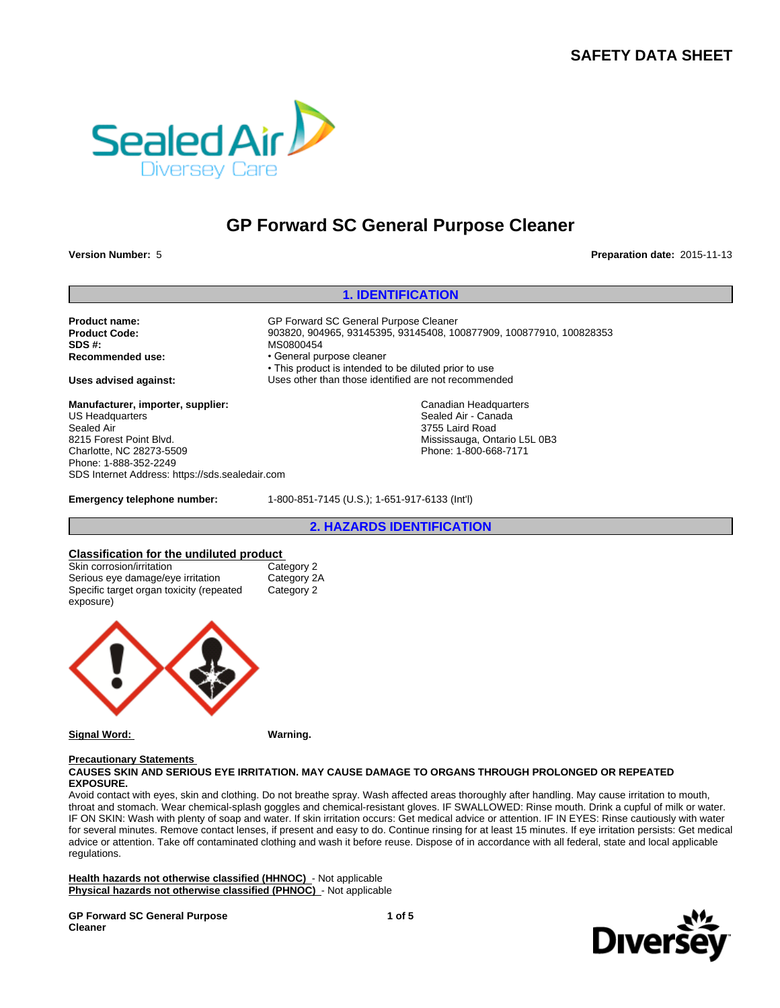# **SAFETY DATA SHEET**



# **GP Forward SC General Purpose Cleaner**

**Version Number:** 5 **Preparation date:** 2015-11-13

#### **1. IDENTIFICATION**

Product name: **COVER 19 COVER 12 COVER 12 GP Forward SC General Purpose Cleaner SDS #:** MS0800454

**Manufacturer, importer, supplier:** US Headquarters Sealed Air 8215 Forest Point Blvd. Charlotte, NC 28273-5509 Phone: 1-888-352-2249 SDS Internet Address: https://sds.sealedair.com

**Product Code:** 903820, 904965, 93145395, 93145408, 100877909, 100877910, 100828353 **• General purpose cleaner** • This product is intended to be diluted prior to use **Uses advised against:** Uses other than those identified are not recommended

> Canadian Headquarters Sealed Air - Canada 3755 Laird Road Mississauga, Ontario L5L 0B3 Phone: 1-800-668-7171

**Emergency telephone number:** 1-800-851-7145 (U.S.); 1-651-917-6133 (Int'l)

**2. HAZARDS IDENTIFICATION**

#### **Classification for the undiluted product**

| Skin corrosion/irritation                | Category 2  |
|------------------------------------------|-------------|
| Serious eye damage/eye irritation        | Category 2A |
| Specific target organ toxicity (repeated | Category 2  |
| exposure)                                |             |



**Signal Word: Warning.**

#### **Precautionary Statements**

#### **CAUSES SKIN AND SERIOUS EYE IRRITATION. MAY CAUSE DAMAGE TO ORGANS THROUGH PROLONGED OR REPEATED EXPOSURE.**

Avoid contact with eyes, skin and clothing. Do not breathe spray. Wash affected areas thoroughly after handling. May cause irritation to mouth, throat and stomach. Wear chemical-splash goggles and chemical-resistant gloves. IF SWALLOWED: Rinse mouth. Drink a cupful of milk or water. IF ON SKIN: Wash with plenty of soap and water. If skin irritation occurs: Get medical advice or attention. IF IN EYES: Rinse cautiously with water for several minutes. Remove contact lenses, if present and easy to do. Continue rinsing for at least 15 minutes. If eye irritation persists: Get medical advice or attention. Take off contaminated clothing and wash it before reuse. Dispose of in accordance with all federal, state and local applicable regulations.

**Health hazards not otherwise classified (HHNOC)** - Not applicable **Physical hazards not otherwise classified (PHNOC)** - Not applicable

**GP Forward SC General Purpose Cleaner**

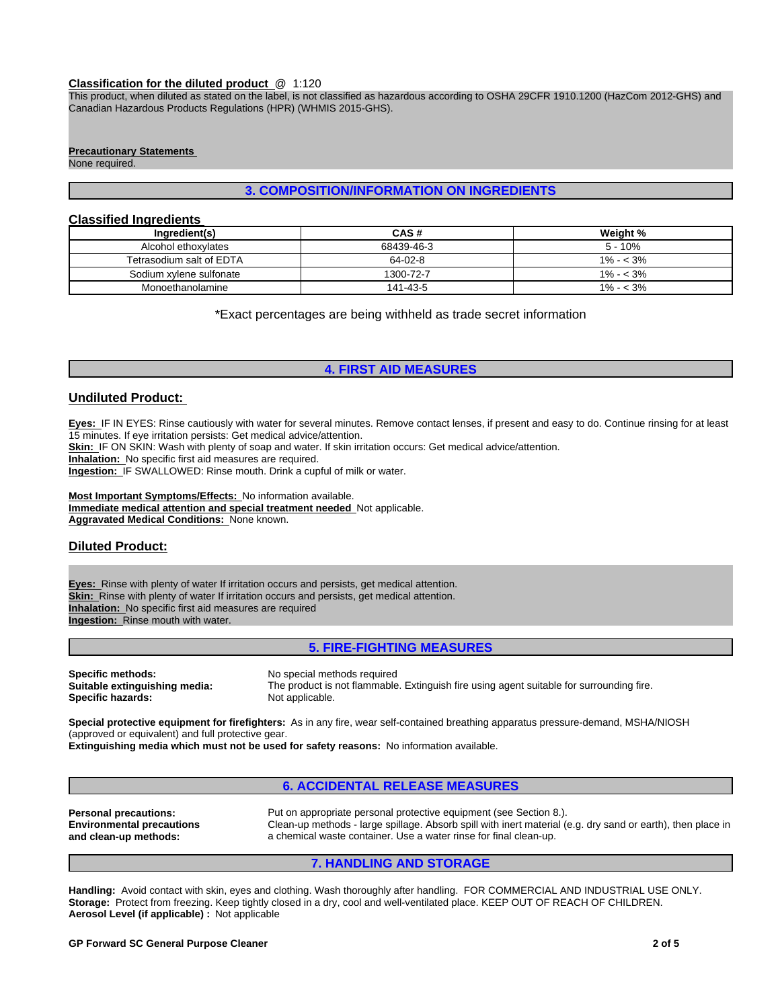#### **Classification for the diluted product** @ 1:120

This product, when diluted as stated on the label, is not classified as hazardous according to OSHA 29CFR 1910.1200 (HazCom 2012-GHS) and Canadian Hazardous Products Regulations (HPR) (WHMIS 2015-GHS).

#### **Precautionary Statements**

None required.

#### **3. COMPOSITION/INFORMATION ON INGREDIENTS**

### **Classified Ingredients**

| Ingredient(s)            | CAS#       | Weight %    |
|--------------------------|------------|-------------|
| Alcohol ethoxylates      | 68439-46-3 | $5 - 10%$   |
| Tetrasodium salt of EDTA | 64-02-8    | $1\% - 3\%$ |
| Sodium xylene sulfonate  | 1300-72-7  | $1\% - 3\%$ |
| Monoethanolamine         | 141-43-5   | $1\% - 3\%$ |

\*Exact percentages are being withheld as trade secret information

#### **4. FIRST AID MEASURES**

#### **Undiluted Product:**

**Eyes:** IF IN EYES: Rinse cautiously with water for several minutes. Remove contact lenses, if present and easy to do. Continue rinsing for at least 15 minutes. If eye irritation persists: Get medical advice/attention.

**Skin:** IF ON SKIN: Wash with plenty of soap and water. If skin irritation occurs: Get medical advice/attention.

**Inhalation:** No specific first aid measures are required.

**Ingestion:** IF SWALLOWED: Rinse mouth. Drink a cupful of milk or water.

**Most Important Symptoms/Effects:** No information available. **Immediate medical attention and special treatment needed** Not applicable. **Aggravated Medical Conditions:** None known.

#### **Diluted Product:**

**Eyes:** Rinse with plenty of water If irritation occurs and persists, get medical attention. **Skin:** Rinse with plenty of water If irritation occurs and persists, get medical attention. **Inhalation:** No specific first aid measures are required **Ingestion:** Rinse mouth with water.

#### **5. FIRE-FIGHTING MEASURES**

**Specific methods:** No special methods required<br> **Suitable extinguishing media:** The product is not flammable **Specific hazards:** 

The product is not flammable. Extinguish fire using agent suitable for surrounding fire.<br>Not applicable

**Special protective equipment for firefighters:** As in any fire, wear self-contained breathing apparatus pressure-demand, MSHA/NIOSH (approved or equivalent) and full protective gear.

**Extinguishing media which must not be used for safety reasons:** No information available.

#### **6. ACCIDENTAL RELEASE MEASURES**

**Environmental precautions and clean-up methods:**

**Personal precautions:** Put on appropriate personal protective equipment (see Section 8.). Clean-up methods - large spillage. Absorb spill with inert material (e.g. dry sand or earth), then place in a chemical waste container. Use a water rinse for final clean-up.

#### **7. HANDLING AND STORAGE**

**Handling:** Avoid contact with skin, eyes and clothing. Wash thoroughly after handling. FOR COMMERCIAL AND INDUSTRIAL USE ONLY. **Storage:** Protect from freezing. Keep tightly closed in a dry, cool and well-ventilated place. KEEP OUT OF REACH OF CHILDREN. **Aerosol Level (if applicable) :** Not applicable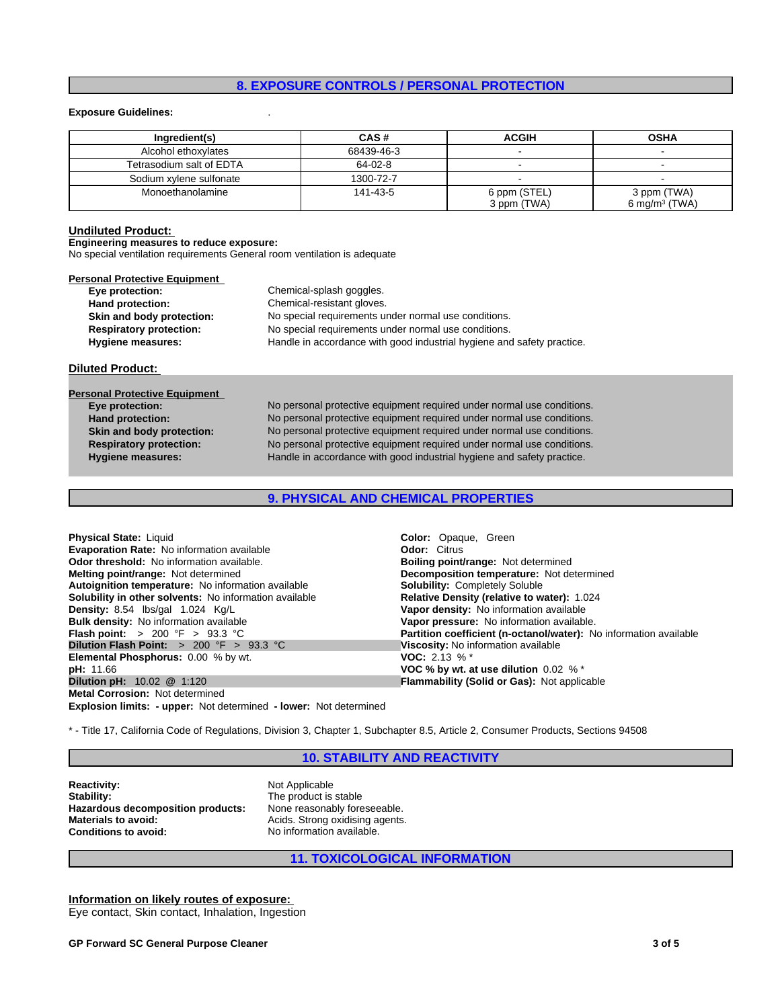#### **8. EXPOSURE CONTROLS / PERSONAL PROTECTION**

#### **Exposure Guidelines:** .

| Ingredient(s)            | CAS#       | <b>ACGIH</b> | <b>OSHA</b>               |
|--------------------------|------------|--------------|---------------------------|
| Alcohol ethoxylates      | 68439-46-3 |              |                           |
| Tetrasodium salt of EDTA | 64-02-8    |              |                           |
| Sodium xylene sulfonate  | 1300-72-7  |              |                           |
| Monoethanolamine         | 141-43-5   | 6 ppm (STEL) | 3 ppm (TWA)               |
|                          |            | 3 ppm (TWA)  | 6 mg/m <sup>3</sup> (TWA) |

#### **Undiluted Product:**

#### **Engineering measures to reduce exposure:**

No special ventilation requirements General room ventilation is adequate

| Personal Protective Equipment  |                                                                        |
|--------------------------------|------------------------------------------------------------------------|
| Eye protection:                | Chemical-splash goggles.                                               |
| Hand protection:               | Chemical-resistant gloves.                                             |
| Skin and body protection:      | No special requirements under normal use conditions.                   |
| <b>Respiratory protection:</b> | No special requirements under normal use conditions.                   |
| Hygiene measures:              | Handle in accordance with good industrial hygiene and safety practice. |

#### **Diluted Product:**

# **Personal Protective Equipment**

**Skin and body protection:** No personal protective equipment required under normal use conditions. **Respiratory protection:** No personal protective equipment required under normal use conditions. **Hygiene measures:** Handle in accordance with good industrial hygiene and safety practice. **Eye protection:** No personal protective equipment required under normal use conditions. Hand protection: No personal protective equipment required under normal use conditions.

#### **9. PHYSICAL AND CHEMICAL PROPERTIES**

| <b>Physical State: Liquid</b>                                 | <b>Color:</b> Opaque, Green                                       |
|---------------------------------------------------------------|-------------------------------------------------------------------|
| <b>Evaporation Rate: No information available</b>             | <b>Odor: Citrus</b>                                               |
| <b>Odor threshold:</b> No information available.              | <b>Boiling point/range: Not determined</b>                        |
| <b>Melting point/range: Not determined</b>                    | <b>Decomposition temperature:</b> Not determined                  |
| Autoignition temperature: No information available            | <b>Solubility: Completely Soluble</b>                             |
| <b>Solubility in other solvents:</b> No information available | Relative Density (relative to water): 1.024                       |
| Density: 8.54 lbs/gal 1.024 Kg/L                              | Vapor density: No information available                           |
| <b>Bulk density:</b> No information available                 | Vapor pressure: No information available.                         |
| <b>Flash point:</b> $> 200 \, \text{°F} > 93.3 \, \text{°C}$  | Partition coefficient (n-octanol/water): No information available |
| <b>Dilution Flash Point:</b> $> 200$ °F $> 93.3$ °C           | Viscosity: No information available                               |
| <b>Elemental Phosphorus: 0.00 % by wt.</b>                    | <b>VOC:</b> 2.13 % $*$                                            |
| <b>pH:</b> 11.66                                              | VOC % by wt. at use dilution $0.02\%$ *                           |
| <b>Dilution pH:</b> $10.02$ @ $1:120$                         | <b>Flammability (Solid or Gas): Not applicable</b>                |
| <b>Metal Corrosion: Not determined</b>                        |                                                                   |
|                                                               |                                                                   |

**Explosion limits: - upper:** Not determined **- lower:** Not determined

\* - Title 17, California Code of Regulations, Division 3, Chapter 1, Subchapter 8.5, Article 2, Consumer Products, Sections 94508

#### **10. STABILITY AND REACTIVITY**

**Reactivity:** Not Applicable<br> **Stability:** The product is **Hazardous decomposition products:**<br>Materials to avoid: **Materials to avoid:** Acids. Strong oxidising agents.<br> **Conditions to avoid:** No information available.

The product is stable<br>None reasonably foreseeable. No information available.

#### **11. TOXICOLOGICAL INFORMATION**

**Information on likely routes of exposure:**  Eye contact, Skin contact, Inhalation, Ingestion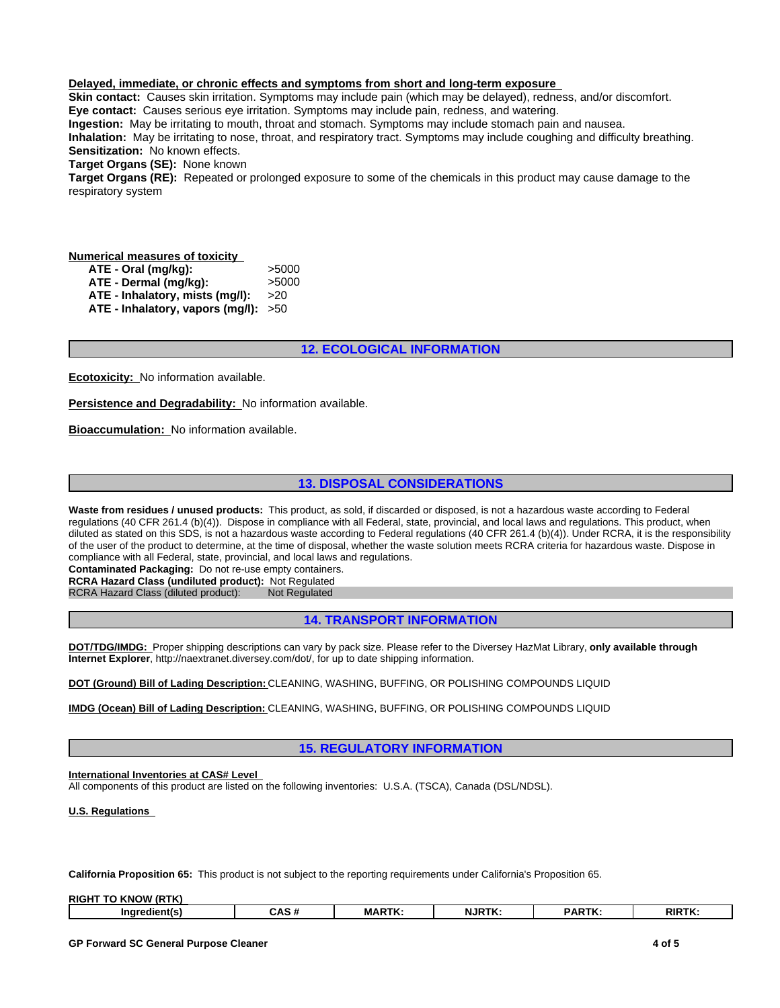#### **Delayed, immediate, or chronic effects and symptoms from short and long-term exposure**

**Skin contact:** Causes skin irritation. Symptoms may include pain (which may be delayed), redness, and/or discomfort. **Eye contact:** Causes serious eye irritation. Symptoms may include pain, redness, and watering.

**Ingestion:** May be irritating to mouth, throat and stomach. Symptoms may include stomach pain and nausea. **Inhalation:** May be irritating to nose, throat, and respiratory tract. Symptoms may include coughing and difficulty breathing. **Sensitization:** No known effects.

**Target Organs (SE):** None known

**Target Organs (RE):** Repeated or prolonged exposure to some of the chemicals in this product may cause damage to the respiratory system

#### **Numerical measures of toxicity**

**ATE - Oral (mg/kg):** >5000 **ATE - Dermal (mg/kg):** >5000 **ATE - Inhalatory, mists (mg/l):** >20

**ATE - Inhalatory, vapors (mg/l):** >50

#### **12. ECOLOGICAL INFORMATION**

**Ecotoxicity:** No information available.

**Persistence and Degradability:** No information available.

**Bioaccumulation:** No information available.

### **13. DISPOSAL CONSIDERATIONS**

**Waste from residues / unused products:** This product, as sold, if discarded or disposed, is not a hazardous waste according to Federal regulations (40 CFR 261.4 (b)(4)). Dispose in compliance with all Federal, state, provincial, and local laws and regulations. This product, when diluted as stated on this SDS, is not a hazardous waste according to Federal regulations (40 CFR 261.4 (b)(4)). Under RCRA, it is the responsibility of the user of the product to determine, at the time of disposal, whether the waste solution meets RCRA criteria for hazardous waste. Dispose in compliance with all Federal, state, provincial, and local laws and regulations.

**Contaminated Packaging:** Do not re-use empty containers.

**RCRA Hazard Class (undiluted product):** Not Regulated

RCRA Hazard Class (diluted product):

#### **14. TRANSPORT INFORMATION**

**DOT/TDG/IMDG:** Proper shipping descriptions can vary by pack size. Please refer to the Diversey HazMat Library, **only available through Internet Explorer**, http://naextranet.diversey.com/dot/, for up to date shipping information.

**DOT (Ground) Bill of Lading Description:** CLEANING, WASHING, BUFFING, OR POLISHING COMPOUNDS LIQUID

**IMDG (Ocean) Bill of Lading Description:** CLEANING, WASHING, BUFFING, OR POLISHING COMPOUNDS LIQUID

#### **15. REGULATORY INFORMATION**

#### **International Inventories at CAS# Level**

All components of this product are listed on the following inventories: U.S.A. (TSCA), Canada (DSL/NDSL).

**U.S. Regulations** 

**California Proposition 65:** This product is not subject to the reporting requirements under California's Proposition 65.

| <b>RIGH</b><br>I (RTK)<br>. KI |                          |              |                  |             |       |
|--------------------------------|--------------------------|--------------|------------------|-------------|-------|
| <b>Inarc</b><br>---            | <br>$\ddot{\phantom{1}}$ | <b>MARTK</b> | $JJIRT^{\gamma}$ | <b>ARTK</b> | RIRTH |